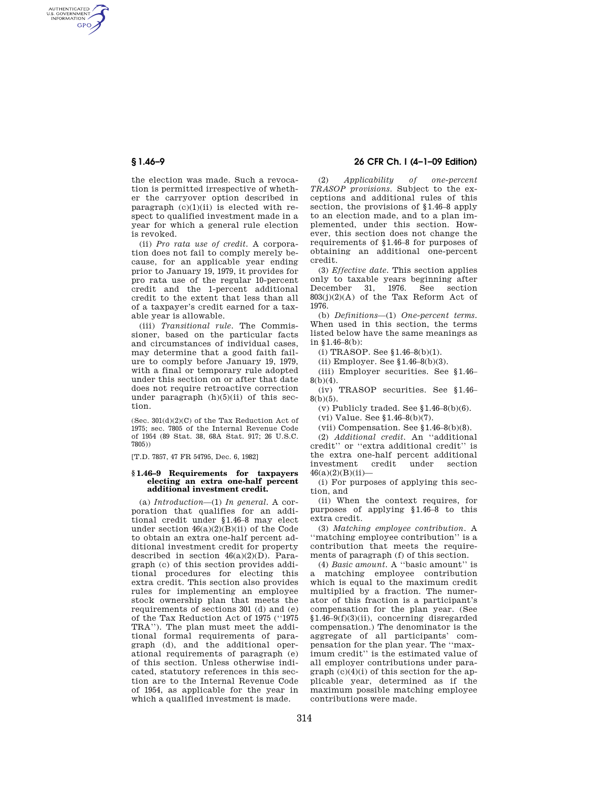AUTHENTICATED<br>U.S. GOVERNMENT<br>INFORMATION **GPO** 

> the election was made. Such a revocation is permitted irrespective of whether the carryover option described in paragraph  $(c)(1)(ii)$  is elected with respect to qualified investment made in a year for which a general rule election is revoked.

> (ii) *Pro rata use of credit.* A corporation does not fail to comply merely because, for an applicable year ending prior to January 19, 1979, it provides for pro rata use of the regular 10-percent credit and the 1-percent additional credit to the extent that less than all of a taxpayer's credit earned for a taxable year is allowable.

> (iii) *Transitional rule.* The Commissioner, based on the particular facts and circumstances of individual cases, may determine that a good faith failure to comply before January 19, 1979, with a final or temporary rule adopted under this section on or after that date does not require retroactive correction under paragraph  $(h)(5)(ii)$  of this section.

> (Sec.  $301(d)(2)(C)$  of the Tax Reduction Act of 1975; sec. 7805 of the Internal Revenue Code of 1954 (89 Stat. 38, 68A Stat. 917; 26 U.S.C. 7805))

[T.D. 7857, 47 FR 54795, Dec. 6, 1982]

#### **§ 1.46–9 Requirements for taxpayers electing an extra one-half percent additional investment credit.**

(a) *Introduction*—(1) *In general.* A corporation that qualifies for an additional credit under §1.46–8 may elect under section  $46(a)(2)(B)(ii)$  of the Code to obtain an extra one-half percent additional investment credit for property described in section  $46(a)(2)(D)$ . Paragraph (c) of this section provides additional procedures for electing this extra credit. This section also provides rules for implementing an employee stock ownership plan that meets the requirements of sections 301 (d) and (e) of the Tax Reduction Act of 1975 (''1975 TRA''). The plan must meet the additional formal requirements of paragraph (d), and the additional operational requirements of paragraph (e) of this section. Unless otherwise indicated, statutory references in this section are to the Internal Revenue Code of 1954, as applicable for the year in which a qualified investment is made.

# **§ 1.46–9 26 CFR Ch. I (4–1–09 Edition)**

(2) *Applicability of one-percent TRASOP provisions.* Subject to the exceptions and additional rules of this section, the provisions of §1.46–8 apply to an election made, and to a plan implemented, under this section. However, this section does not change the requirements of §1.46–8 for purposes of obtaining an additional one-percent credit.

(3) *Effective date.* This section applies only to taxable years beginning after<br>December 31, 1976. See section December 31,  $1976$ .  $803(j)(2)(A)$  of the Tax Reform Act of 1976.

(b) *Definitions*—(1) *One-percent terms.*  When used in this section, the terms listed below have the same meanings as in §1.46–8(b):

(i) TRASOP. See §1.46–8(b)(1).

(ii) Employer. See §1.46–8(b)(3).

(iii) Employer securities. See §1.46–  $8(b)(4)$ .

(iv) TRASOP securities. See §1.46–  $8(b)(5)$ .

(v) Publicly traded. See  $$1.46-8(b)(6)$ .

(vi) Value. See §1.46–8(b)(7).

(vii) Compensation. See §1.46–8(b)(8).

(2) *Additional credit.* An ''additional credit'' or ''extra additional credit'' is the extra one-half percent additional investment credit under section  $46(a)(2)(B)(ii)$ —

(i) For purposes of applying this section, and

(ii) When the context requires, for purposes of applying §1.46–8 to this extra credit.

(3) *Matching employee contribution.* A ''matching employee contribution'' is a contribution that meets the requirements of paragraph (f) of this section.

(4) *Basic amount.* A ''basic amount'' is a matching employee contribution which is equal to the maximum credit multiplied by a fraction. The numerator of this fraction is a participant's compensation for the plan year. (See §1.46–9(f)(3)(ii), concerning disregarded compensation.) The denominator is the aggregate of all participants' compensation for the plan year. The ''maximum credit'' is the estimated value of all employer contributions under paragraph  $(c)(4)(i)$  of this section for the applicable year, determined as if the maximum possible matching employee contributions were made.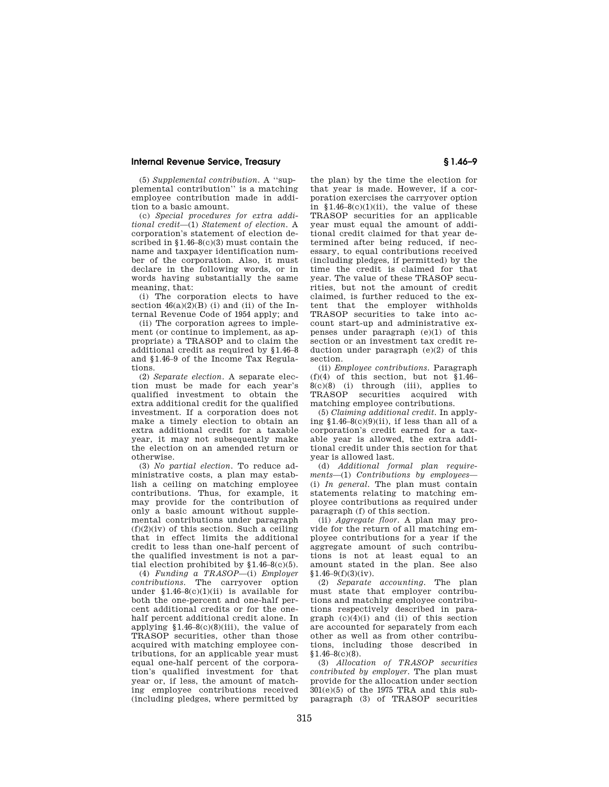## **Internal Revenue Service, Treasury § 1.46–9**

(5) *Supplemental contribution.* A ''supplemental contribution'' is a matching employee contribution made in addition to a basic amount.

(c) *Special procedures for extra additional credit*—(1) *Statement of election.* A corporation's statement of election described in §1.46–8(c)(3) must contain the name and taxpayer identification number of the corporation. Also, it must declare in the following words, or in words having substantially the same meaning, that:

(i) The corporation elects to have section  $46(a)(2)(B)$  (i) and (ii) of the Internal Revenue Code of 1954 apply; and

(ii) The corporation agrees to implement (or continue to implement, as appropriate) a TRASOP and to claim the additional credit as required by §1.46–8 and §1.46–9 of the Income Tax Regulations.

(2) *Separate election.* A separate election must be made for each year's qualified investment to obtain the extra additional credit for the qualified investment. If a corporation does not make a timely election to obtain an extra additional credit for a taxable year, it may not subsequently make the election on an amended return or otherwise.

(3) *No partial election.* To reduce administrative costs, a plan may establish a ceiling on matching employee contributions. Thus, for example, it may provide for the contribution of only a basic amount without supplemental contributions under paragraph  $(f)(2)(iv)$  of this section. Such a ceiling that in effect limits the additional credit to less than one-half percent of the qualified investment is not a partial election prohibited by  $$1.46-8(c)(5)$ .

(4) *Funding a TRASOP*—(i) *Employer contributions.* The carryover option under  $$1.46-8(c)(1)(ii)$  is available for both the one-percent and one-half percent additional credits or for the onehalf percent additional credit alone. In applying  $$1.46-8(c)(8)(iii)$ , the value of TRASOP securities, other than those acquired with matching employee contributions, for an applicable year must equal one-half percent of the corporation's qualified investment for that year or, if less, the amount of matching employee contributions received (including pledges, where permitted by

the plan) by the time the election for that year is made. However, if a corporation exercises the carryover option in  $$1.46-8(c)(1)(ii)$ , the value of these TRASOP securities for an applicable year must equal the amount of additional credit claimed for that year determined after being reduced, if necessary, to equal contributions received (including pledges, if permitted) by the time the credit is claimed for that year. The value of these TRASOP securities, but not the amount of credit claimed, is further reduced to the extent that the employer withholds TRASOP securities to take into account start-up and administrative expenses under paragraph (e)(1) of this section or an investment tax credit reduction under paragraph (e)(2) of this section.

(ii) *Employee contributions.* Paragraph  $(f)(4)$  of this section, but not §1.46–  $8(c)(8)$  (i) through (iii), applies to TRASOP securities acquired with matching employee contributions.

(5) *Claiming additional credit.* In applying  $$1.46-8(c)(9)(ii)$ , if less than all of a corporation's credit earned for a taxable year is allowed, the extra additional credit under this section for that year is allowed last.

(d) *Additional formal plan requirements*—(1) *Contributions by employees*— (i) *In general.* The plan must contain statements relating to matching employee contributions as required under paragraph (f) of this section.

(ii) *Aggregate floor.* A plan may provide for the return of all matching employee contributions for a year if the aggregate amount of such contributions is not at least equal to an amount stated in the plan. See also  $$1.46-9(f)(3)(iv).$ 

(2) *Separate accounting.* The plan must state that employer contributions and matching employee contributions respectively described in paragraph  $(c)(4)(i)$  and (ii) of this section are accounted for separately from each other as well as from other contributions, including those described in §1.46–8(c)(8).

(3) *Allocation of TRASOP securities contributed by employer.* The plan must provide for the allocation under section  $301(e)(5)$  of the 1975 TRA and this subparagraph (3) of TRASOP securities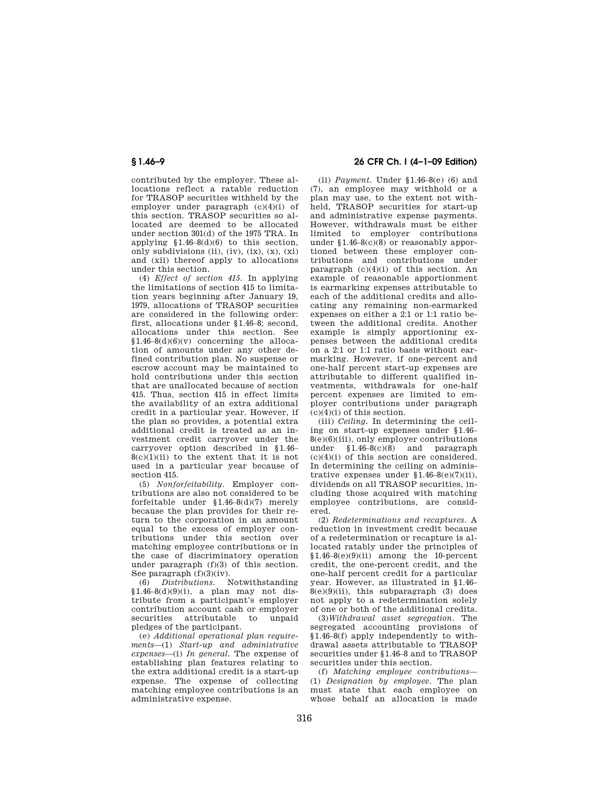contributed by the employer. These allocations reflect a ratable reduction for TRASOP securities withheld by the employer under paragraph (c)(4)(i) of this section. TRASOP securities so allocated are deemed to be allocated under section 301(d) of the 1975 TRA. In applying  $$1.46-8(d)(6)$  to this section, only subdivisions (ii),  $(iv)$ ,  $(ix)$ ,  $(x)$ ,  $(xi)$ and (xii) thereof apply to allocations under this section.

(4) *Effect of section 415.* In applying the limitations of section 415 to limitation years beginning after January 19, 1979, allocations of TRASOP securities are considered in the following order: first, allocations under §1.46–8; second, allocations under this section. See  $$1.46-8(d)(6)(v)$  concerning the allocation of amounts under any other defined contribution plan. No suspense or escrow account may be maintained to hold contributions under this section that are unallocated because of section 415. Thus, section 415 in effect limits the availability of an extra additional credit in a particular year. However, if the plan so provides, a potential extra additional credit is treated as an investment credit carryover under the carryover option described in §1.46–  $8(c)(1)(ii)$  to the extent that it is not used in a particular year because of section 415.

(5) *Nonforfeitability.* Employer contributions are also not considered to be forfeitable under §1.46–8(d)(7) merely because the plan provides for their return to the corporation in an amount equal to the excess of employer contributions under this section over matching employee contributions or in the case of discriminatory operation under paragraph  $(f)(3)$  of this section. See paragraph (f)(3)(iv).

(6) *Distributions.* Notwithstanding §1.46–8(d)(9)(i), a plan may not distribute from a participant's employer contribution account cash or employer securities attributable to unpaid pledges of the participant.

(e) *Additional operational plan requirements*—(1) *Start-up and administrative expenses*—(i) *In general.* The expense of establishing plan features relating to the extra additional credit is a start-up expense. The expense of collecting matching employee contributions is an administrative expense.

# **§ 1.46–9 26 CFR Ch. I (4–1–09 Edition)**

(ii) *Payment.* Under §1.46–8(e) (6) and (7), an employee may withhold or a plan may use, to the extent not withheld, TRASOP securities for start-up and administrative expense payments. However, withdrawals must be either limited to employer contributions under §1.46–8(c)(8) or reasonably apportioned between these employer contributions and contributions under paragraph  $(c)(4)(i)$  of this section. An example of reasonable apportionment is earmarking expenses attributable to each of the additional credits and allocating any remaining non-earmarked expenses on either a 2:1 or 1:1 ratio between the additional credits. Another example is simply apportioning expenses between the additional credits on a 2:1 or 1:1 ratio basis without earmarking. However, if one-percent and one-half percent start-up expenses are attributable to different qualified investments, withdrawals for one-half percent expenses are limited to employer contributions under paragraph  $(c)(4)(i)$  of this section.

(iii) *Ceiling.* In determining the ceiling on start-up expenses under §1.46–  $8(e)(6)(iii)$ , only employer contributions under §1.46–8(c)(8) and paragraph  $(c)(4)(i)$  of this section are considered. In determining the ceiling on administrative expenses under  $$1.46-8(e)(7)(ii)$ , dividends on all TRASOP securities, including those acquired with matching employee contributions, are considered.

(2) *Redeterminations and recaptures.* A reduction in investment credit because of a redetermination or recapture is allocated ratably under the principles of  $$1.46-8(e)(9)(ii)$  among the 10-percent credit, the one-percent credit, and the one-half percent credit for a particular year. However, as illustrated in §1.46–  $8(e)(9)(ii)$ , this subparagraph  $(3)$  does not apply to a redetermination solely of one or both of the additional credits.

(3)*Withdrawal asset segregation.* The segregated accounting provisions of §1.46–8(f) apply independently to withdrawal assets attributable to TRASOP securities under §1.46–8 and to TRASOP securities under this section.

(f) *Matching employee contributions*— (1) *Designation by employee.* The plan must state that each employee on whose behalf an allocation is made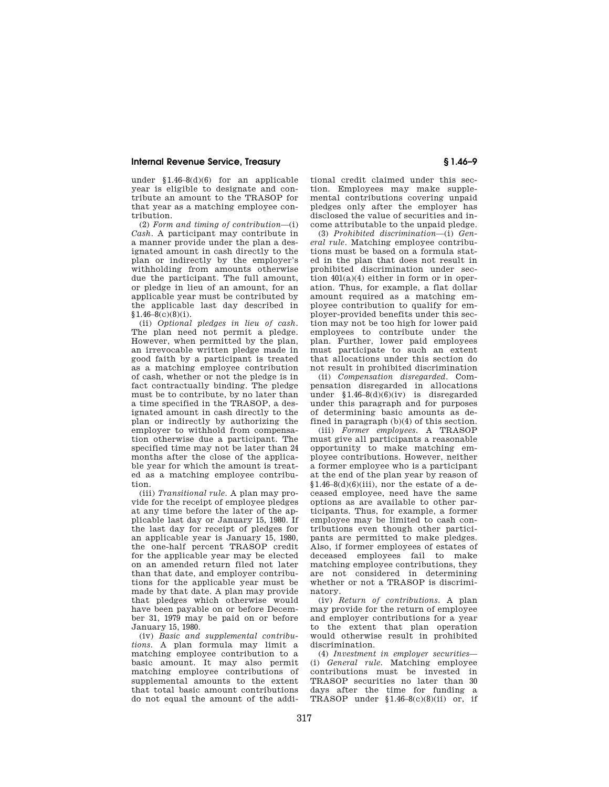## **Internal Revenue Service, Treasury § 1.46–9**

under §1.46–8(d)(6) for an applicable year is eligible to designate and contribute an amount to the TRASOP for that year as a matching employee contribution.

(2) *Form and timing of contribution*—(i) *Cash.* A participant may contribute in a manner provide under the plan a designated amount in cash directly to the plan or indirectly by the employer's withholding from amounts otherwise due the participant. The full amount, or pledge in lieu of an amount, for an applicable year must be contributed by the applicable last day described in  $$1.46-8(c)(8)(i).$ 

(ii) *Optional pledges in lieu of cash.*  The plan need not permit a pledge. However, when permitted by the plan, an irrevocable written pledge made in good faith by a participant is treated as a matching employee contribution of cash, whether or not the pledge is in fact contractually binding. The pledge must be to contribute, by no later than a time specified in the TRASOP, a designated amount in cash directly to the plan or indirectly by authorizing the employer to withhold from compensation otherwise due a participant. The specified time may not be later than 24 months after the close of the applicable year for which the amount is treated as a matching employee contribution.

(iii) *Transitional rule.* A plan may provide for the receipt of employee pledges at any time before the later of the applicable last day or January 15, 1980. If the last day for receipt of pledges for an applicable year is January 15, 1980, the one-half percent TRASOP credit for the applicable year may be elected on an amended return filed not later than that date, and employer contributions for the applicable year must be made by that date. A plan may provide that pledges which otherwise would have been payable on or before December 31, 1979 may be paid on or before January 15, 1980.

(iv) *Basic and supplemental contributions.* A plan formula may limit a matching employee contribution to a basic amount. It may also permit matching employee contributions of supplemental amounts to the extent that total basic amount contributions do not equal the amount of the additional credit claimed under this section. Employees may make supplemental contributions covering unpaid pledges only after the employer has disclosed the value of securities and income attributable to the unpaid pledge.

(3) *Prohibited discrimination*—(i) *General rule.* Matching employee contributions must be based on a formula stated in the plan that does not result in prohibited discrimination under section 401(a)(4) either in form or in operation. Thus, for example, a flat dollar amount required as a matching employee contribution to qualify for employer-provided benefits under this section may not be too high for lower paid employees to contribute under the plan. Further, lower paid employees must participate to such an extent that allocations under this section do not result in prohibited discrimination

(ii) *Compensation disregarded.* Compensation disregarded in allocations under  $$1.46-8(d)(6)(iv)$  is disregarded under this paragraph and for purposes of determining basic amounts as defined in paragraph (b)(4) of this section.

(iii) *Former employees.* A TRASOP must give all participants a reasonable opportunity to make matching employee contributions. However, neither a former employee who is a participant at the end of the plan year by reason of  $$1.46-8(d)(6)(iii)$ , nor the estate of a deceased employee, need have the same options as are available to other participants. Thus, for example, a former employee may be limited to cash contributions even though other participants are permitted to make pledges. Also, if former employees of estates of deceased employees fail to make matching employee contributions, they are not considered in determining whether or not a TRASOP is discriminatory.

(iv) *Return of contributions.* A plan may provide for the return of employee and employer contributions for a year to the extent that plan operation would otherwise result in prohibited discrimination.

(4) *Investment in employer securities*— (i) *General rule.* Matching employee contributions must be invested in TRASOP securities no later than 30 days after the time for funding a TRASOP under  $$1.46-8(c)(8)(ii)$  or, if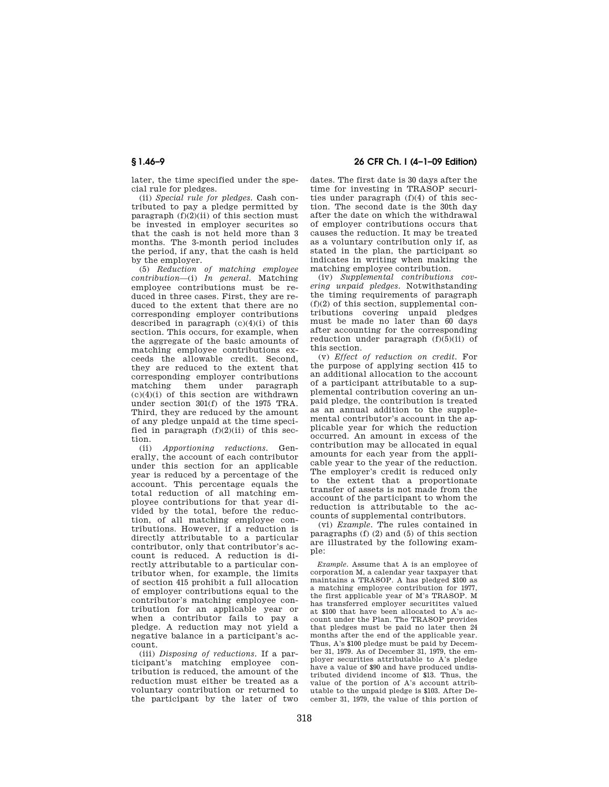later, the time specified under the special rule for pledges.

(ii) *Special rule for pledges.* Cash contributed to pay a pledge permitted by paragraph  $(f)(2)(ii)$  of this section must be invested in employer securites so that the cash is not held more than 3 months. The 3-month period includes the period, if any, that the cash is held by the employer.

(5) *Reduction of matching employee contribution*—(i) *In general.* Matching employee contributions must be reduced in three cases. First, they are reduced to the extent that there are no corresponding employer contributions described in paragraph  $(c)(4)(i)$  of this section. This occurs, for example, when the aggregate of the basic amounts of matching employee contributions exceeds the allowable credit. Second, they are reduced to the extent that corresponding employer contributions matching them under paragraph  $(c)(4)(i)$  of this section are withdrawn under section 301(f) of the 1975 TRA. Third, they are reduced by the amount of any pledge unpaid at the time specified in paragraph  $(f)(2)(ii)$  of this section.

(ii) *Apportioning reductions.* Generally, the account of each contributor under this section for an applicable year is reduced by a percentage of the account. This percentage equals the total reduction of all matching employee contributions for that year divided by the total, before the reduction, of all matching employee contributions. However, if a reduction is directly attributable to a particular contributor, only that contributor's account is reduced. A reduction is directly attributable to a particular contributor when, for example, the limits of section 415 prohibit a full allocation of employer contributions equal to the contributor's matching employee contribution for an applicable year or when a contributor fails to pay a pledge. A reduction may not yield a negative balance in a participant's account.

(iii) *Disposing of reductions.* If a participant's matching employee contribution is reduced, the amount of the reduction must either be treated as a voluntary contribution or returned to the participant by the later of two

**§ 1.46–9 26 CFR Ch. I (4–1–09 Edition)** 

dates. The first date is 30 days after the time for investing in TRASOP securities under paragraph (f)(4) of this section. The second date is the 30th day after the date on which the withdrawal of employer contributions occurs that causes the reduction. It may be treated as a voluntary contribution only if, as stated in the plan, the participant so indicates in writing when making the matching employee contribution.

(iv) *Supplemental contributions covering unpaid pledges.* Notwithstanding the timing requirements of paragraph  $(f)(2)$  of this section, supplemental contributions covering unpaid pledges must be made no later than 60 days after accounting for the corresponding reduction under paragraph  $(f)(5)(ii)$  of this section.

(v) *Effect of reduction on credit.* For the purpose of applying section 415 to an additional allocation to the account of a participant attributable to a supplemental contribution covering an unpaid pledge, the contribution is treated as an annual addition to the supplemental contributor's account in the applicable year for which the reduction occurred. An amount in excess of the contribution may be allocated in equal amounts for each year from the applicable year to the year of the reduction. The employer's credit is reduced only to the extent that a proportionate transfer of assets is not made from the account of the participant to whom the reduction is attributable to the accounts of supplemental contributors.

(vi) *Example.* The rules contained in paragraphs (f) (2) and (5) of this section are illustrated by the following example:

*Example.* Assume that A is an employee of corporation M, a calendar year taxpayer that maintains a TRASOP. A has pledged \$100 as a matching employee contribution for 1977, the first applicable year of M's TRASOP. M has transferred employer securitites valued at \$100 that have been allocated to A's account under the Plan. The TRASOP provides that pledges must be paid no later then 24 months after the end of the applicable year. Thus, A's \$100 pledge must be paid by December 31, 1979. As of December 31, 1979, the employer securities attributable to A's pledge have a value of \$90 and have produced undistributed dividend income of \$13. Thus, the value of the portion of A's account attributable to the unpaid pledge is \$103. After December 31, 1979, the value of this portion of